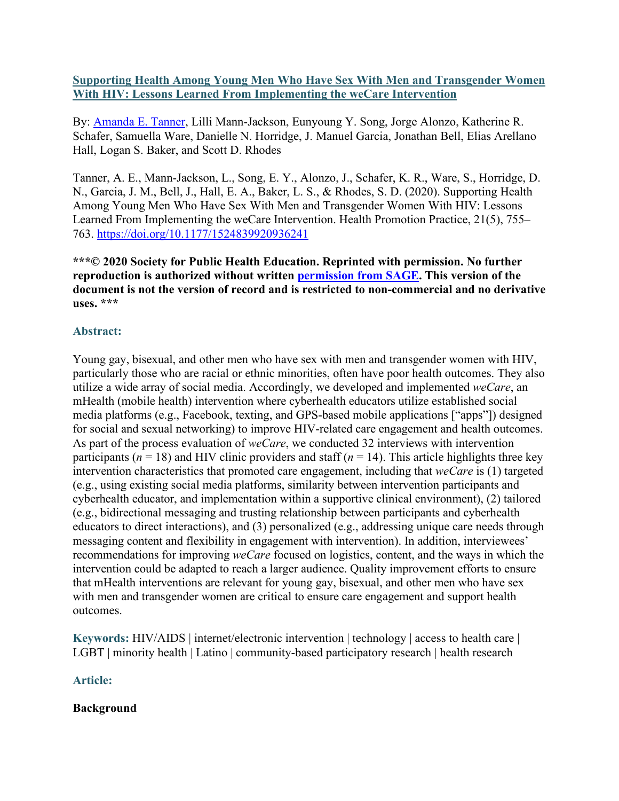## **Supporting Health Among Young Men Who Have Sex With Men and Transgender Women With HIV: Lessons Learned From Implementing the weCare Intervention**

By: [Amanda E. Tanner,](https://libres.uncg.edu/ir/uncg/clist.aspx?id=7746) Lilli Mann-Jackson, Eunyoung Y. Song, Jorge Alonzo, Katherine R. Schafer, Samuella Ware, Danielle N. Horridge, J. Manuel Garcia, Jonathan Bell, Elias Arellano Hall, Logan S. Baker, and Scott D. Rhodes

Tanner, A. E., Mann-Jackson, L., Song, E. Y., Alonzo, J., Schafer, K. R., Ware, S., Horridge, D. N., Garcia, J. M., Bell, J., Hall, E. A., Baker, L. S., & Rhodes, S. D. (2020). Supporting Health Among Young Men Who Have Sex With Men and Transgender Women With HIV: Lessons Learned From Implementing the weCare Intervention. Health Promotion Practice, 21(5), 755– 763.<https://doi.org/10.1177/1524839920936241>

**\*\*\*© 2020 Society for Public Health Education. Reprinted with permission. No further reproduction is authorized without written [permission from SAGE.](https://us.sagepub.com/en-us/nam/journals-permissions) This version of the document is not the version of record and is restricted to non-commercial and no derivative uses. \*\*\***

# **Abstract:**

Young gay, bisexual, and other men who have sex with men and transgender women with HIV, particularly those who are racial or ethnic minorities, often have poor health outcomes. They also utilize a wide array of social media. Accordingly, we developed and implemented *weCare*, an mHealth (mobile health) intervention where cyberhealth educators utilize established social media platforms (e.g., Facebook, texting, and GPS-based mobile applications ["apps"]) designed for social and sexual networking) to improve HIV-related care engagement and health outcomes. As part of the process evaluation of *weCare*, we conducted 32 interviews with intervention participants ( $n = 18$ ) and HIV clinic providers and staff ( $n = 14$ ). This article highlights three key intervention characteristics that promoted care engagement, including that *weCare* is (1) targeted (e.g., using existing social media platforms, similarity between intervention participants and cyberhealth educator, and implementation within a supportive clinical environment), (2) tailored (e.g., bidirectional messaging and trusting relationship between participants and cyberhealth educators to direct interactions), and (3) personalized (e.g., addressing unique care needs through messaging content and flexibility in engagement with intervention). In addition, interviewees' recommendations for improving *weCare* focused on logistics, content, and the ways in which the intervention could be adapted to reach a larger audience. Quality improvement efforts to ensure that mHealth interventions are relevant for young gay, bisexual, and other men who have sex with men and transgender women are critical to ensure care engagement and support health outcomes.

**Keywords:** HIV/AIDS | internet/electronic intervention | technology | access to health care | LGBT | minority health | Latino | community-based participatory research | health research

# **Article:**

# **Background**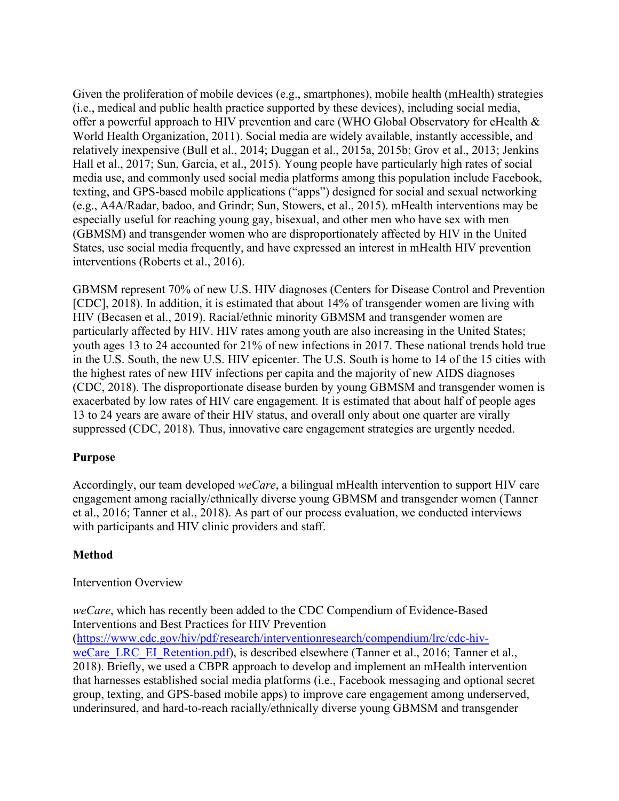Given the proliferation of mobile devices (e.g., smartphones), mobile health (mHealth) strategies (i.e., medical and public health practice supported by these devices), including social media, offer a powerful approach to HIV prevention and care (WHO Global Observatory for eHealth & World Health Organization, 2011). Social media are widely available, instantly accessible, and relatively inexpensive (Bull et al., 2014; Duggan et al., 2015a, 2015b; Grov et al., 2013; Jenkins Hall et al., 2017; Sun, Garcia, et al., 2015). Young people have particularly high rates of social media use, and commonly used social media platforms among this population include Facebook, texting, and GPS-based mobile applications ("apps") designed for social and sexual networking (e.g., A4A/Radar, badoo, and Grindr; Sun, Stowers, et al., 2015). mHealth interventions may be especially useful for reaching young gay, bisexual, and other men who have sex with men (GBMSM) and transgender women who are disproportionately affected by HIV in the United States, use social media frequently, and have expressed an interest in mHealth HIV prevention interventions (Roberts et al., 2016).

GBMSM represent 70% of new U.S. HIV diagnoses (Centers for Disease Control and Prevention [CDC], 2018). In addition, it is estimated that about 14% of transgender women are living with HIV (Becasen et al., 2019). Racial/ethnic minority GBMSM and transgender women are particularly affected by HIV. HIV rates among youth are also increasing in the United States; youth ages 13 to 24 accounted for 21% of new infections in 2017. These national trends hold true in the U.S. South, the new U.S. HIV epicenter. The U.S. South is home to 14 of the 15 cities with the highest rates of new HIV infections per capita and the majority of new AIDS diagnoses (CDC, 2018). The disproportionate disease burden by young GBMSM and transgender women is exacerbated by low rates of HIV care engagement. It is estimated that about half of people ages 13 to 24 years are aware of their HIV status, and overall only about one quarter are virally suppressed (CDC, 2018). Thus, innovative care engagement strategies are urgently needed.

# **Purpose**

Accordingly, our team developed *weCare*, a bilingual mHealth intervention to support HIV care engagement among racially/ethnically diverse young GBMSM and transgender women (Tanner et al., 2016; Tanner et al., 2018). As part of our process evaluation, we conducted interviews with participants and HIV clinic providers and staff.

# **Method**

## Intervention Overview

*weCare*, which has recently been added to the CDC Compendium of Evidence-Based Interventions and Best Practices for HIV Prevention

[\(https://www.cdc.gov/hiv/pdf/research/interventionresearch/compendium/lrc/cdc-hiv](https://www.cdc.gov/hiv/pdf/research/interventionresearch/compendium/lrc/cdc-hiv-weCare_LRC_EI_Retention.pdf)[weCare\\_LRC\\_EI\\_Retention.pdf\)](https://www.cdc.gov/hiv/pdf/research/interventionresearch/compendium/lrc/cdc-hiv-weCare_LRC_EI_Retention.pdf), is described elsewhere (Tanner et al., 2016; Tanner et al., 2018). Briefly, we used a CBPR approach to develop and implement an mHealth intervention that harnesses established social media platforms (i.e., Facebook messaging and optional secret group, texting, and GPS-based mobile apps) to improve care engagement among underserved, underinsured, and hard-to-reach racially/ethnically diverse young GBMSM and transgender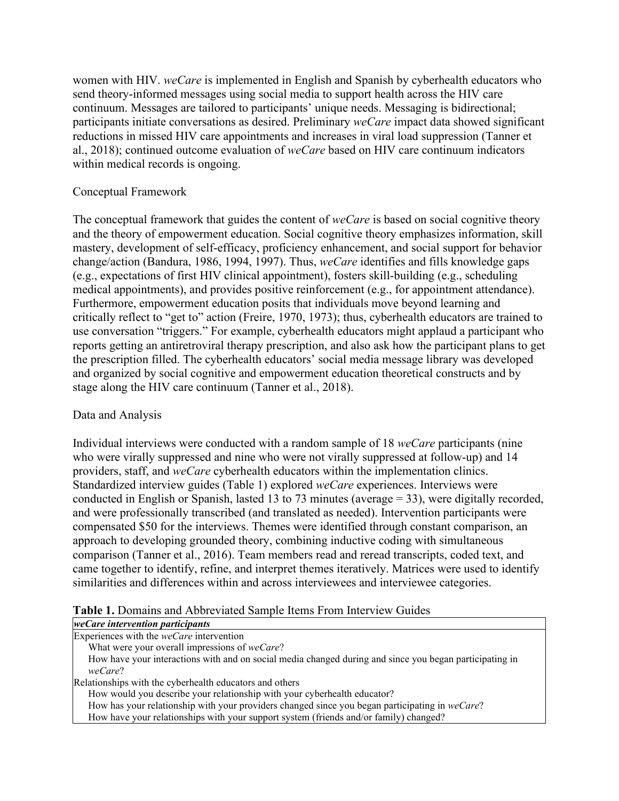women with HIV. *weCare* is implemented in English and Spanish by cyberhealth educators who send theory-informed messages using social media to support health across the HIV care continuum. Messages are tailored to participants' unique needs. Messaging is bidirectional; participants initiate conversations as desired. Preliminary *weCare* impact data showed significant reductions in missed HIV care appointments and increases in viral load suppression (Tanner et al., 2018); continued outcome evaluation of *weCare* based on HIV care continuum indicators within medical records is ongoing.

## Conceptual Framework

The conceptual framework that guides the content of *weCare* is based on social cognitive theory and the theory of empowerment education. Social cognitive theory emphasizes information, skill mastery, development of self-efficacy, proficiency enhancement, and social support for behavior change/action (Bandura, 1986, 1994, 1997). Thus, *weCare* identifies and fills knowledge gaps (e.g., expectations of first HIV clinical appointment), fosters skill-building (e.g., scheduling medical appointments), and provides positive reinforcement (e.g., for appointment attendance). Furthermore, empowerment education posits that individuals move beyond learning and critically reflect to "get to" action (Freire, 1970, 1973); thus, cyberhealth educators are trained to use conversation "triggers." For example, cyberhealth educators might applaud a participant who reports getting an antiretroviral therapy prescription, and also ask how the participant plans to get the prescription filled. The cyberhealth educators' social media message library was developed and organized by social cognitive and empowerment education theoretical constructs and by stage along the HIV care continuum (Tanner et al., 2018).

## Data and Analysis

Individual interviews were conducted with a random sample of 18 *weCare* participants (nine who were virally suppressed and nine who were not virally suppressed at follow-up) and 14 providers, staff, and *weCare* cyberhealth educators within the implementation clinics. Standardized interview guides (Table 1) explored *weCare* experiences. Interviews were conducted in English or Spanish, lasted 13 to 73 minutes (average = 33), were digitally recorded, and were professionally transcribed (and translated as needed). Intervention participants were compensated \$50 for the interviews. Themes were identified through constant comparison, an approach to developing grounded theory, combining inductive coding with simultaneous comparison (Tanner et al., 2016). Team members read and reread transcripts, coded text, and came together to identify, refine, and interpret themes iteratively. Matrices were used to identify similarities and differences within and across interviewees and interviewee categories.

## **Table 1.** Domains and Abbreviated Sample Items From Interview Guides

| weCare intervention participants                                                                        |
|---------------------------------------------------------------------------------------------------------|
| Experiences with the $weCare$ intervention                                                              |
| What were your overall impressions of weCare?                                                           |
| How have your interactions with and on social media changed during and since you began participating in |
| weCare?                                                                                                 |
| Relationships with the cyberhealth educators and others                                                 |
| How would you describe your relationship with your cyberhealth educator?                                |
| How has your relationship with your providers changed since you began participating in weCare?          |
| How have your relationships with your support system (friends and/or family) changed?                   |
|                                                                                                         |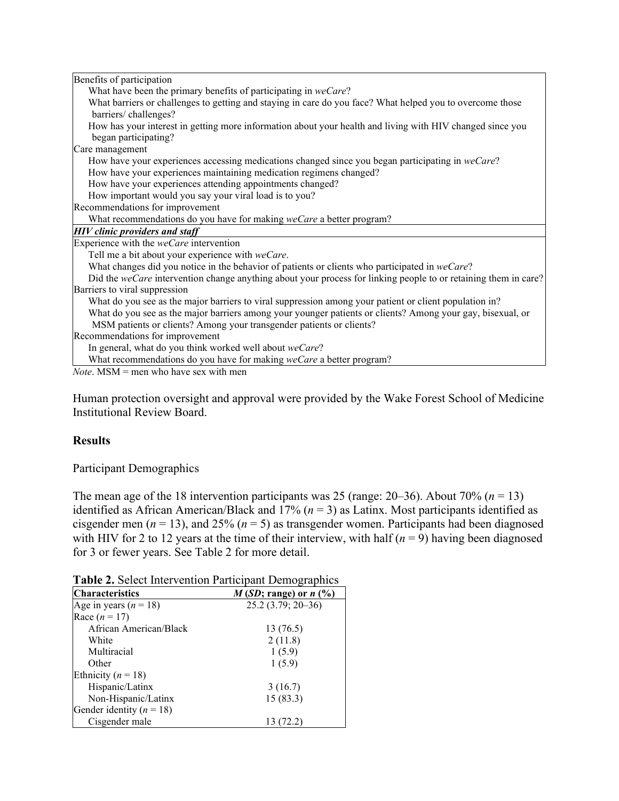| Benefits of participation                                                                                       |
|-----------------------------------------------------------------------------------------------------------------|
| What have been the primary benefits of participating in weCare?                                                 |
| What barriers or challenges to getting and staying in care do you face? What helped you to overcome those       |
| barriers/challenges?                                                                                            |
| How has your interest in getting more information about your health and living with HIV changed since you       |
| began participating?                                                                                            |
| Care management                                                                                                 |
| How have your experiences accessing medications changed since you began participating in weCare?                |
| How have your experiences maintaining medication regimens changed?                                              |
| How have your experiences attending appointments changed?                                                       |
| How important would you say your viral load is to you?                                                          |
| Recommendations for improvement                                                                                 |
| What recommendations do you have for making weCare a better program?                                            |
| <b>HIV</b> clinic providers and staff                                                                           |
| Experience with the weCare intervention                                                                         |
| Tell me a bit about your experience with weCare.                                                                |
| What changes did you notice in the behavior of patients or clients who participated in weCare?                  |
| Did the weCare intervention change anything about your process for linking people to or retaining them in care? |
| Barriers to viral suppression                                                                                   |
| What do you see as the major barriers to viral suppression among your patient or client population in?          |
| What do you see as the major barriers among your younger patients or clients? Among your gay, bisexual, or      |
| MSM patients or clients? Among your transgender patients or clients?                                            |
| Recommendations for improvement                                                                                 |
| In general, what do you think worked well about weCare?                                                         |
| What recommendations do you have for making weCare a better program?                                            |
| <i>Note</i> $MSM =$ men who have sex with men                                                                   |

*Note*. MSM = men who have sex with men

Human protection oversight and approval were provided by the Wake Forest School of Medicine Institutional Review Board.

## **Results**

Participant Demographics

The mean age of the 18 intervention participants was 25 (range:  $20-36$ ). About 70% ( $n = 13$ ) identified as African American/Black and 17% (*n* = 3) as Latinx. Most participants identified as cisgender men ( $n = 13$ ), and 25% ( $n = 5$ ) as transgender women. Participants had been diagnosed with HIV for 2 to 12 years at the time of their interview, with half  $(n = 9)$  having been diagnosed for 3 or fewer years. See Table 2 for more detail.

| <b>Tuble 2:</b> Server miles ( charged a distribution beam explaned |                           |
|---------------------------------------------------------------------|---------------------------|
| <b>Characteristics</b>                                              | $M(SD; range)$ or $n$ (%) |
| Age in years $(n = 18)$                                             | $25.2(3.79; 20-36)$       |
| Race $(n = 17)$                                                     |                           |
| African American/Black                                              | 13 (76.5)                 |
| White                                                               | 2(11.8)                   |
| Multiracial                                                         | 1(5.9)                    |
| Other                                                               | 1(5.9)                    |
| Ethnicity ( $n = 18$ )                                              |                           |
| Hispanic/Latinx                                                     | 3(16.7)                   |
| Non-Hispanic/Latinx                                                 | 15(83.3)                  |
| Gender identity ( $n = 18$ )                                        |                           |
| Cisgender male                                                      | 13 (72.2)                 |

**Table 2.** Select Intervention Participant Demographics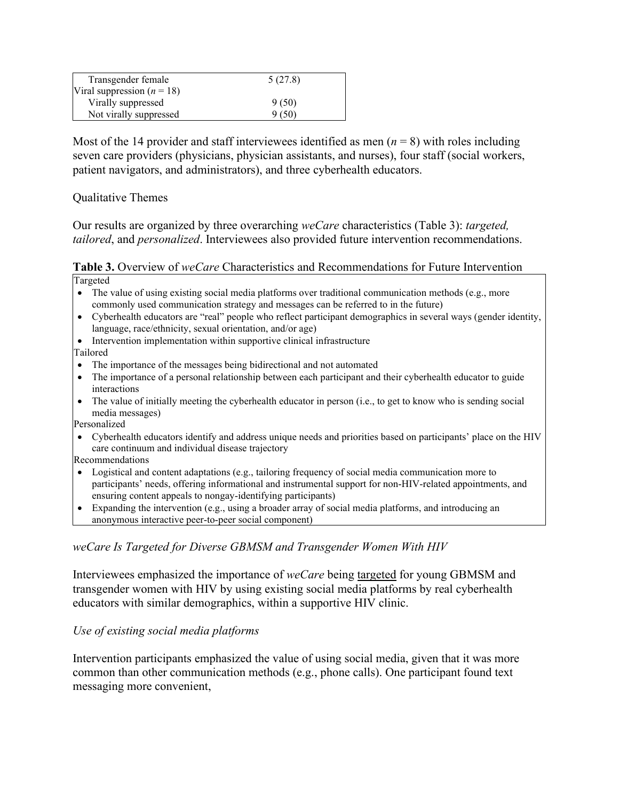| Transgender female             | 5(27.8) |
|--------------------------------|---------|
| Viral suppression ( $n = 18$ ) |         |
| Virally suppressed             | 9(50)   |
| Not virally suppressed         | 9(50)   |

Most of the 14 provider and staff interviewees identified as men  $(n = 8)$  with roles including seven care providers (physicians, physician assistants, and nurses), four staff (social workers, patient navigators, and administrators), and three cyberhealth educators.

Qualitative Themes

Our results are organized by three overarching *weCare* characteristics (Table 3): *targeted, tailored*, and *personalized*. Interviewees also provided future intervention recommendations.

**Table 3.** Overview of *weCare* Characteristics and Recommendations for Future Intervention Targeted

- The value of using existing social media platforms over traditional communication methods (e.g., more commonly used communication strategy and messages can be referred to in the future)
- Cyberhealth educators are "real" people who reflect participant demographics in several ways (gender identity, language, race/ethnicity, sexual orientation, and/or age)
- Intervention implementation within supportive clinical infrastructure Tailored
- The importance of the messages being bidirectional and not automated
- The importance of a personal relationship between each participant and their cyberhealth educator to guide interactions
- The value of initially meeting the cyberhealth educator in person (i.e., to get to know who is sending social media messages)

Personalized

• Cyberhealth educators identify and address unique needs and priorities based on participants' place on the HIV care continuum and individual disease trajectory

Recommendations

- Logistical and content adaptations (e.g., tailoring frequency of social media communication more to participants' needs, offering informational and instrumental support for non-HIV-related appointments, and ensuring content appeals to nongay-identifying participants)
- Expanding the intervention (e.g., using a broader array of social media platforms, and introducing an anonymous interactive peer-to-peer social component)

# *weCare Is Targeted for Diverse GBMSM and Transgender Women With HIV*

Interviewees emphasized the importance of *weCare* being targeted for young GBMSM and transgender women with HIV by using existing social media platforms by real cyberhealth educators with similar demographics, within a supportive HIV clinic.

# *Use of existing social media platforms*

Intervention participants emphasized the value of using social media, given that it was more common than other communication methods (e.g., phone calls). One participant found text messaging more convenient,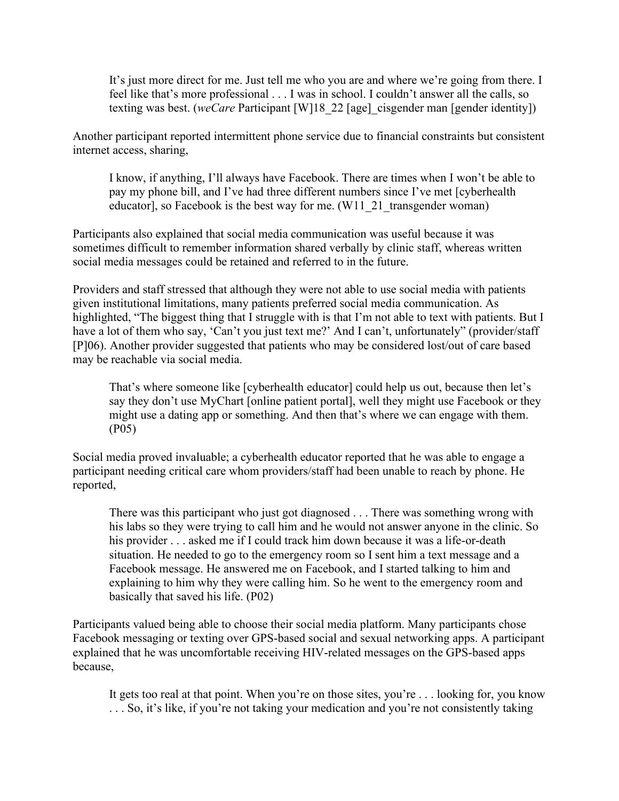It's just more direct for me. Just tell me who you are and where we're going from there. I feel like that's more professional . . . I was in school. I couldn't answer all the calls, so texting was best. (*weCare* Participant [W]18\_22 [age]\_cisgender man [gender identity])

Another participant reported intermittent phone service due to financial constraints but consistent internet access, sharing,

I know, if anything, I'll always have Facebook. There are times when I won't be able to pay my phone bill, and I've had three different numbers since I've met [cyberhealth educator], so Facebook is the best way for me. (W11\_21\_transgender woman)

Participants also explained that social media communication was useful because it was sometimes difficult to remember information shared verbally by clinic staff, whereas written social media messages could be retained and referred to in the future.

Providers and staff stressed that although they were not able to use social media with patients given institutional limitations, many patients preferred social media communication. As highlighted, "The biggest thing that I struggle with is that I'm not able to text with patients. But I have a lot of them who say, 'Can't you just text me?' And I can't, unfortunately" (provider/staff [P]06). Another provider suggested that patients who may be considered lost/out of care based may be reachable via social media.

That's where someone like [cyberhealth educator] could help us out, because then let's say they don't use MyChart [online patient portal], well they might use Facebook or they might use a dating app or something. And then that's where we can engage with them. (P05)

Social media proved invaluable; a cyberhealth educator reported that he was able to engage a participant needing critical care whom providers/staff had been unable to reach by phone. He reported,

There was this participant who just got diagnosed . . . There was something wrong with his labs so they were trying to call him and he would not answer anyone in the clinic. So his provider . . . asked me if I could track him down because it was a life-or-death situation. He needed to go to the emergency room so I sent him a text message and a Facebook message. He answered me on Facebook, and I started talking to him and explaining to him why they were calling him. So he went to the emergency room and basically that saved his life. (P02)

Participants valued being able to choose their social media platform. Many participants chose Facebook messaging or texting over GPS-based social and sexual networking apps. A participant explained that he was uncomfortable receiving HIV-related messages on the GPS-based apps because,

It gets too real at that point. When you're on those sites, you're . . . looking for, you know . . . So, it's like, if you're not taking your medication and you're not consistently taking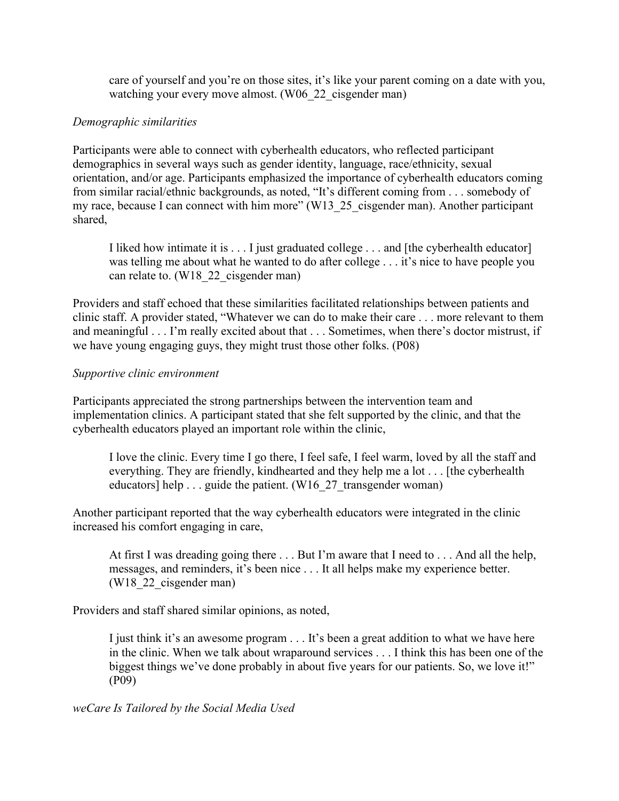care of yourself and you're on those sites, it's like your parent coming on a date with you, watching your every move almost. (W06 22 cisgender man)

## *Demographic similarities*

Participants were able to connect with cyberhealth educators, who reflected participant demographics in several ways such as gender identity, language, race/ethnicity, sexual orientation, and/or age. Participants emphasized the importance of cyberhealth educators coming from similar racial/ethnic backgrounds, as noted, "It's different coming from . . . somebody of my race, because I can connect with him more" (W13\_25\_cisgender man). Another participant shared,

I liked how intimate it is . . . I just graduated college . . . and [the cyberhealth educator] was telling me about what he wanted to do after college . . . it's nice to have people you can relate to. (W18 22 cisgender man)

Providers and staff echoed that these similarities facilitated relationships between patients and clinic staff. A provider stated, "Whatever we can do to make their care . . . more relevant to them and meaningful . . . I'm really excited about that . . . Sometimes, when there's doctor mistrust, if we have young engaging guys, they might trust those other folks. (P08)

## *Supportive clinic environment*

Participants appreciated the strong partnerships between the intervention team and implementation clinics. A participant stated that she felt supported by the clinic, and that the cyberhealth educators played an important role within the clinic,

I love the clinic. Every time I go there, I feel safe, I feel warm, loved by all the staff and everything. They are friendly, kindhearted and they help me a lot . . . [the cyberhealth educators] help . . . guide the patient. (W16  $27$  transgender woman)

Another participant reported that the way cyberhealth educators were integrated in the clinic increased his comfort engaging in care,

At first I was dreading going there . . . But I'm aware that I need to . . . And all the help, messages, and reminders, it's been nice . . . It all helps make my experience better. (W18\_22\_cisgender man)

Providers and staff shared similar opinions, as noted,

I just think it's an awesome program . . . It's been a great addition to what we have here in the clinic. When we talk about wraparound services . . . I think this has been one of the biggest things we've done probably in about five years for our patients. So, we love it!" (P09)

*weCare Is Tailored by the Social Media Used*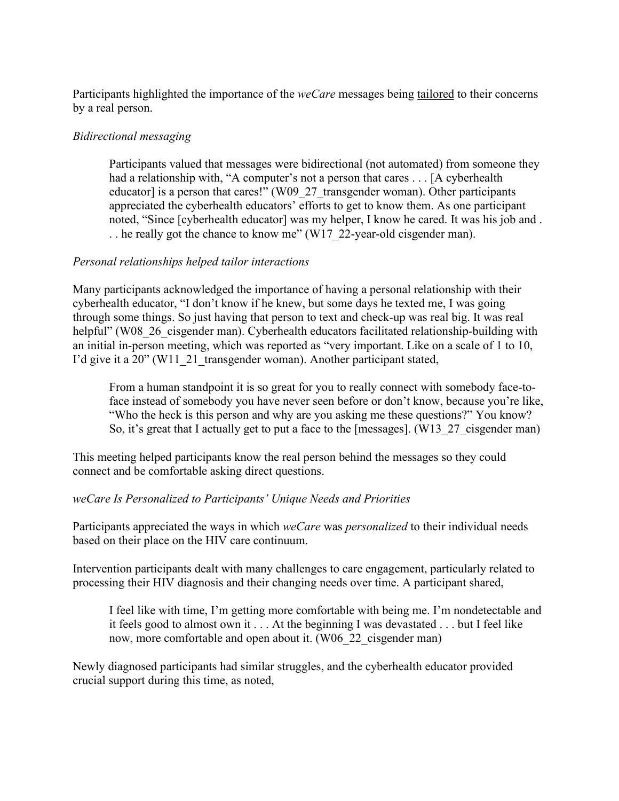Participants highlighted the importance of the *weCare* messages being tailored to their concerns by a real person.

# *Bidirectional messaging*

Participants valued that messages were bidirectional (not automated) from someone they had a relationship with, "A computer's not a person that cares . . . [A cyberhealth educator] is a person that cares!" (W09\_27\_transgender woman). Other participants appreciated the cyberhealth educators' efforts to get to know them. As one participant noted, "Since [cyberhealth educator] was my helper, I know he cared. It was his job and . . . he really got the chance to know me" (W17 22-year-old cisgender man).

## *Personal relationships helped tailor interactions*

Many participants acknowledged the importance of having a personal relationship with their cyberhealth educator, "I don't know if he knew, but some days he texted me, I was going through some things. So just having that person to text and check-up was real big. It was real helpful" (W08 26 cisgender man). Cyberhealth educators facilitated relationship-building with an initial in-person meeting, which was reported as "very important. Like on a scale of 1 to 10, I'd give it a 20" (W11\_21\_transgender woman). Another participant stated,

From a human standpoint it is so great for you to really connect with somebody face-toface instead of somebody you have never seen before or don't know, because you're like, "Who the heck is this person and why are you asking me these questions?" You know? So, it's great that I actually get to put a face to the [messages]. (W13 27 cisgender man)

This meeting helped participants know the real person behind the messages so they could connect and be comfortable asking direct questions.

## *weCare Is Personalized to Participants' Unique Needs and Priorities*

Participants appreciated the ways in which *weCare* was *personalized* to their individual needs based on their place on the HIV care continuum.

Intervention participants dealt with many challenges to care engagement, particularly related to processing their HIV diagnosis and their changing needs over time. A participant shared,

I feel like with time, I'm getting more comfortable with being me. I'm nondetectable and it feels good to almost own it . . . At the beginning I was devastated . . . but I feel like now, more comfortable and open about it. (W06\_22\_cisgender man)

Newly diagnosed participants had similar struggles, and the cyberhealth educator provided crucial support during this time, as noted,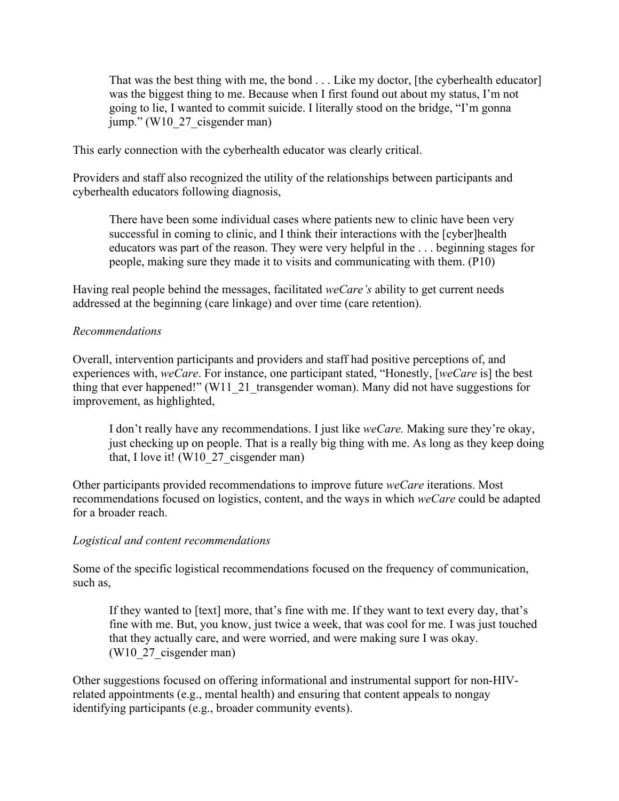That was the best thing with me, the bond . . . Like my doctor, [the cyberhealth educator] was the biggest thing to me. Because when I first found out about my status, I'm not going to lie, I wanted to commit suicide. I literally stood on the bridge, "I'm gonna jump." (W10\_27\_cisgender man)

This early connection with the cyberhealth educator was clearly critical.

Providers and staff also recognized the utility of the relationships between participants and cyberhealth educators following diagnosis,

There have been some individual cases where patients new to clinic have been very successful in coming to clinic, and I think their interactions with the [cyber]health educators was part of the reason. They were very helpful in the . . . beginning stages for people, making sure they made it to visits and communicating with them. (P10)

Having real people behind the messages, facilitated *weCare's* ability to get current needs addressed at the beginning (care linkage) and over time (care retention).

## *Recommendations*

Overall, intervention participants and providers and staff had positive perceptions of, and experiences with, *weCare*. For instance, one participant stated, "Honestly, [*weCare* is] the best thing that ever happened!" (W11\_21\_transgender woman). Many did not have suggestions for improvement, as highlighted,

I don't really have any recommendations. I just like *weCare.* Making sure they're okay, just checking up on people. That is a really big thing with me. As long as they keep doing that, I love it! (W10  $27$  cisgender man)

Other participants provided recommendations to improve future *weCare* iterations. Most recommendations focused on logistics, content, and the ways in which *weCare* could be adapted for a broader reach.

## *Logistical and content recommendations*

Some of the specific logistical recommendations focused on the frequency of communication, such as,

If they wanted to [text] more, that's fine with me. If they want to text every day, that's fine with me. But, you know, just twice a week, that was cool for me. I was just touched that they actually care, and were worried, and were making sure I was okay. (W10\_27\_cisgender man)

Other suggestions focused on offering informational and instrumental support for non-HIVrelated appointments (e.g., mental health) and ensuring that content appeals to nongay identifying participants (e.g., broader community events).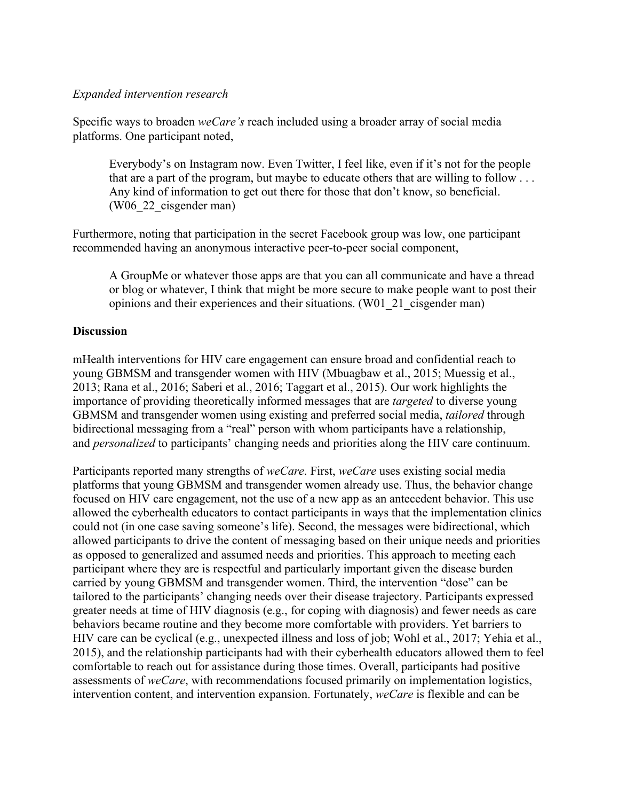## *Expanded intervention research*

Specific ways to broaden *weCare's* reach included using a broader array of social media platforms. One participant noted,

Everybody's on Instagram now. Even Twitter, I feel like, even if it's not for the people that are a part of the program, but maybe to educate others that are willing to follow . . . Any kind of information to get out there for those that don't know, so beneficial. (W06\_22\_cisgender man)

Furthermore, noting that participation in the secret Facebook group was low, one participant recommended having an anonymous interactive peer-to-peer social component,

A GroupMe or whatever those apps are that you can all communicate and have a thread or blog or whatever, I think that might be more secure to make people want to post their opinions and their experiences and their situations. (W01\_21\_cisgender man)

## **Discussion**

mHealth interventions for HIV care engagement can ensure broad and confidential reach to young GBMSM and transgender women with HIV (Mbuagbaw et al., 2015; Muessig et al., 2013; Rana et al., 2016; Saberi et al., 2016; Taggart et al., 2015). Our work highlights the importance of providing theoretically informed messages that are *targeted* to diverse young GBMSM and transgender women using existing and preferred social media, *tailored* through bidirectional messaging from a "real" person with whom participants have a relationship, and *personalized* to participants' changing needs and priorities along the HIV care continuum.

Participants reported many strengths of *weCare*. First, *weCare* uses existing social media platforms that young GBMSM and transgender women already use. Thus, the behavior change focused on HIV care engagement, not the use of a new app as an antecedent behavior. This use allowed the cyberhealth educators to contact participants in ways that the implementation clinics could not (in one case saving someone's life). Second, the messages were bidirectional, which allowed participants to drive the content of messaging based on their unique needs and priorities as opposed to generalized and assumed needs and priorities. This approach to meeting each participant where they are is respectful and particularly important given the disease burden carried by young GBMSM and transgender women. Third, the intervention "dose" can be tailored to the participants' changing needs over their disease trajectory. Participants expressed greater needs at time of HIV diagnosis (e.g., for coping with diagnosis) and fewer needs as care behaviors became routine and they become more comfortable with providers. Yet barriers to HIV care can be cyclical (e.g., unexpected illness and loss of job; Wohl et al., 2017; Yehia et al., 2015), and the relationship participants had with their cyberhealth educators allowed them to feel comfortable to reach out for assistance during those times. Overall, participants had positive assessments of *weCare*, with recommendations focused primarily on implementation logistics, intervention content, and intervention expansion. Fortunately, *weCare* is flexible and can be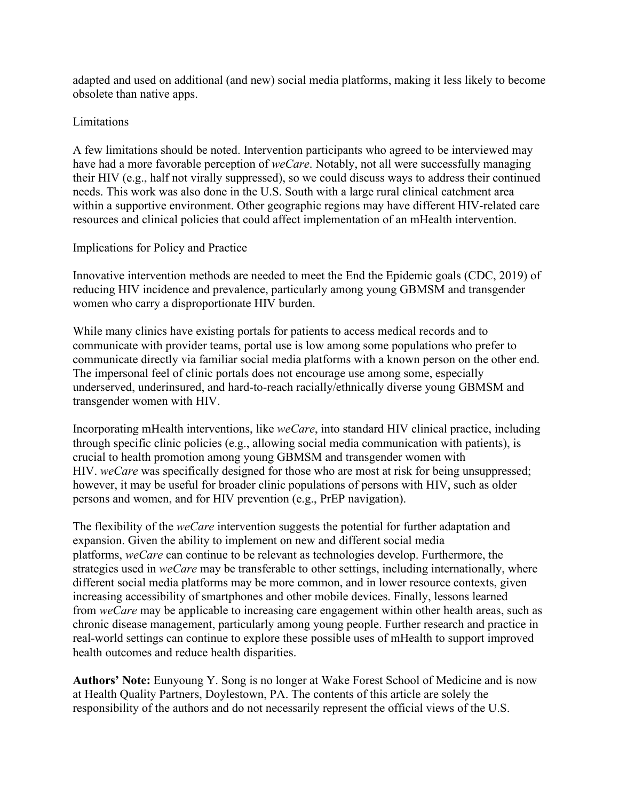adapted and used on additional (and new) social media platforms, making it less likely to become obsolete than native apps.

## Limitations

A few limitations should be noted. Intervention participants who agreed to be interviewed may have had a more favorable perception of *weCare*. Notably, not all were successfully managing their HIV (e.g., half not virally suppressed), so we could discuss ways to address their continued needs. This work was also done in the U.S. South with a large rural clinical catchment area within a supportive environment. Other geographic regions may have different HIV-related care resources and clinical policies that could affect implementation of an mHealth intervention.

# Implications for Policy and Practice

Innovative intervention methods are needed to meet the End the Epidemic goals (CDC, 2019) of reducing HIV incidence and prevalence, particularly among young GBMSM and transgender women who carry a disproportionate HIV burden.

While many clinics have existing portals for patients to access medical records and to communicate with provider teams, portal use is low among some populations who prefer to communicate directly via familiar social media platforms with a known person on the other end. The impersonal feel of clinic portals does not encourage use among some, especially underserved, underinsured, and hard-to-reach racially/ethnically diverse young GBMSM and transgender women with HIV.

Incorporating mHealth interventions, like *weCare*, into standard HIV clinical practice, including through specific clinic policies (e.g., allowing social media communication with patients), is crucial to health promotion among young GBMSM and transgender women with HIV. *weCare* was specifically designed for those who are most at risk for being unsuppressed; however, it may be useful for broader clinic populations of persons with HIV, such as older persons and women, and for HIV prevention (e.g., PrEP navigation).

The flexibility of the *weCare* intervention suggests the potential for further adaptation and expansion. Given the ability to implement on new and different social media platforms, *weCare* can continue to be relevant as technologies develop. Furthermore, the strategies used in *weCare* may be transferable to other settings, including internationally, where different social media platforms may be more common, and in lower resource contexts, given increasing accessibility of smartphones and other mobile devices. Finally, lessons learned from *weCare* may be applicable to increasing care engagement within other health areas, such as chronic disease management, particularly among young people. Further research and practice in real-world settings can continue to explore these possible uses of mHealth to support improved health outcomes and reduce health disparities.

**Authors' Note:** Eunyoung Y. Song is no longer at Wake Forest School of Medicine and is now at Health Quality Partners, Doylestown, PA. The contents of this article are solely the responsibility of the authors and do not necessarily represent the official views of the U.S.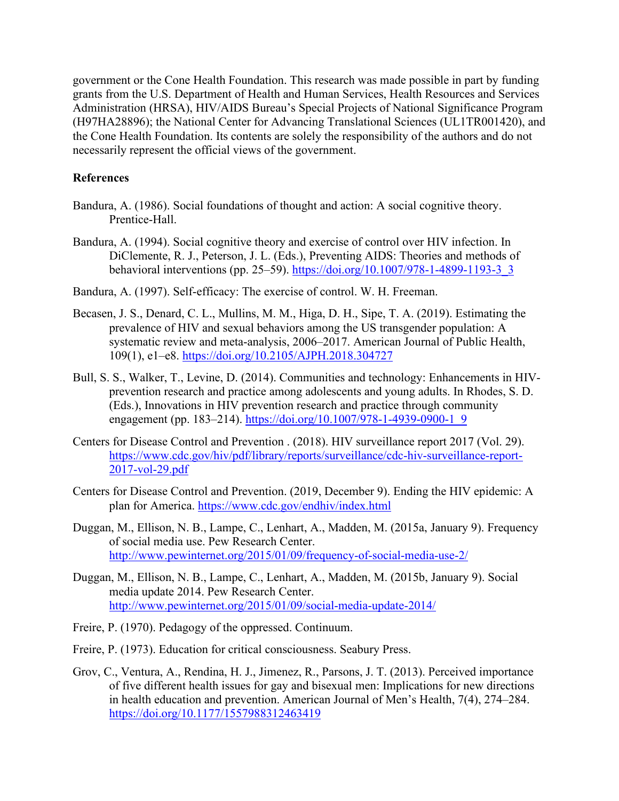government or the Cone Health Foundation. This research was made possible in part by funding grants from the U.S. Department of Health and Human Services, Health Resources and Services Administration (HRSA), HIV/AIDS Bureau's Special Projects of National Significance Program (H97HA28896); the National Center for Advancing Translational Sciences (UL1TR001420), and the Cone Health Foundation. Its contents are solely the responsibility of the authors and do not necessarily represent the official views of the government.

## **References**

- Bandura, A. (1986). Social foundations of thought and action: A social cognitive theory. Prentice-Hall.
- Bandura, A. (1994). Social cognitive theory and exercise of control over HIV infection. In DiClemente, R. J., Peterson, J. L. (Eds.), Preventing AIDS: Theories and methods of behavioral interventions (pp. 25–59). [https://doi.org/10.1007/978-1-4899-1193-3\\_3](https://doi.org/10.1007/978-1-4899-1193-3_3)
- Bandura, A. (1997). Self-efficacy: The exercise of control. W. H. Freeman.
- Becasen, J. S., Denard, C. L., Mullins, M. M., Higa, D. H., Sipe, T. A. (2019). Estimating the prevalence of HIV and sexual behaviors among the US transgender population: A systematic review and meta-analysis, 2006–2017. American Journal of Public Health, 109(1), e1–e8.<https://doi.org/10.2105/AJPH.2018.304727>
- Bull, S. S., Walker, T., Levine, D. (2014). Communities and technology: Enhancements in HIVprevention research and practice among adolescents and young adults. In Rhodes, S. D. (Eds.), Innovations in HIV prevention research and practice through community engagement (pp. 183–214). [https://doi.org/10.1007/978-1-4939-0900-1\\_9](https://doi.org/10.1007/978-1-4939-0900-1_9)
- Centers for Disease Control and Prevention . (2018). HIV surveillance report 2017 (Vol. 29). [https://www.cdc.gov/hiv/pdf/library/reports/surveillance/cdc-hiv-surveillance-report-](https://www.cdc.gov/hiv/pdf/library/reports/surveillance/cdc-hiv-surveillance-report-2017-vol-29.pdf)[2017-vol-29.pdf](https://www.cdc.gov/hiv/pdf/library/reports/surveillance/cdc-hiv-surveillance-report-2017-vol-29.pdf)
- Centers for Disease Control and Prevention. (2019, December 9). Ending the HIV epidemic: A plan for America.<https://www.cdc.gov/endhiv/index.html>
- Duggan, M., Ellison, N. B., Lampe, C., Lenhart, A., Madden, M. (2015a, January 9). Frequency of social media use. Pew Research Center. <http://www.pewinternet.org/2015/01/09/frequency-of-social-media-use-2/>
- Duggan, M., Ellison, N. B., Lampe, C., Lenhart, A., Madden, M. (2015b, January 9). Social media update 2014. Pew Research Center. <http://www.pewinternet.org/2015/01/09/social-media-update-2014/>
- Freire, P. (1970). Pedagogy of the oppressed. Continuum.
- Freire, P. (1973). Education for critical consciousness. Seabury Press.
- Grov, C., Ventura, A., Rendina, H. J., Jimenez, R., Parsons, J. T. (2013). Perceived importance of five different health issues for gay and bisexual men: Implications for new directions in health education and prevention. American Journal of Men's Health, 7(4), 274–284. <https://doi.org/10.1177/1557988312463419>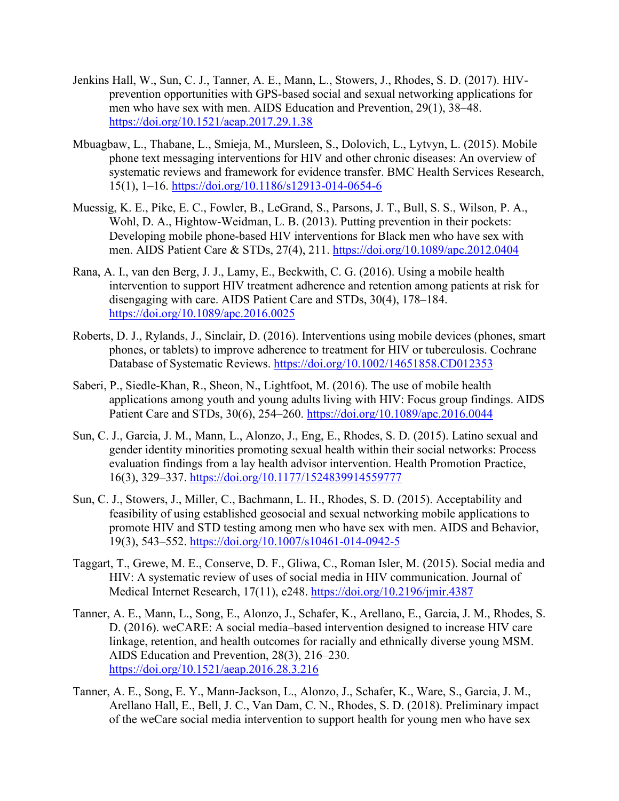- Jenkins Hall, W., Sun, C. J., Tanner, A. E., Mann, L., Stowers, J., Rhodes, S. D. (2017). HIVprevention opportunities with GPS-based social and sexual networking applications for men who have sex with men. AIDS Education and Prevention, 29(1), 38–48. <https://doi.org/10.1521/aeap.2017.29.1.38>
- Mbuagbaw, L., Thabane, L., Smieja, M., Mursleen, S., Dolovich, L., Lytvyn, L. (2015). Mobile phone text messaging interventions for HIV and other chronic diseases: An overview of systematic reviews and framework for evidence transfer. BMC Health Services Research, 15(1), 1–16.<https://doi.org/10.1186/s12913-014-0654-6>
- Muessig, K. E., Pike, E. C., Fowler, B., LeGrand, S., Parsons, J. T., Bull, S. S., Wilson, P. A., Wohl, D. A., Hightow-Weidman, L. B. (2013). Putting prevention in their pockets: Developing mobile phone-based HIV interventions for Black men who have sex with men. AIDS Patient Care & STDs, 27(4), 211.<https://doi.org/10.1089/apc.2012.0404>
- Rana, A. I., van den Berg, J. J., Lamy, E., Beckwith, C. G. (2016). Using a mobile health intervention to support HIV treatment adherence and retention among patients at risk for disengaging with care. AIDS Patient Care and STDs, 30(4), 178–184. <https://doi.org/10.1089/apc.2016.0025>
- Roberts, D. J., Rylands, J., Sinclair, D. (2016). Interventions using mobile devices (phones, smart phones, or tablets) to improve adherence to treatment for HIV or tuberculosis. Cochrane Database of Systematic Reviews.<https://doi.org/10.1002/14651858.CD012353>
- Saberi, P., Siedle-Khan, R., Sheon, N., Lightfoot, M. (2016). The use of mobile health applications among youth and young adults living with HIV: Focus group findings. AIDS Patient Care and STDs, 30(6), 254–260.<https://doi.org/10.1089/apc.2016.0044>
- Sun, C. J., Garcia, J. M., Mann, L., Alonzo, J., Eng, E., Rhodes, S. D. (2015). Latino sexual and gender identity minorities promoting sexual health within their social networks: Process evaluation findings from a lay health advisor intervention. Health Promotion Practice, 16(3), 329–337.<https://doi.org/10.1177/1524839914559777>
- Sun, C. J., Stowers, J., Miller, C., Bachmann, L. H., Rhodes, S. D. (2015). Acceptability and feasibility of using established geosocial and sexual networking mobile applications to promote HIV and STD testing among men who have sex with men. AIDS and Behavior, 19(3), 543–552.<https://doi.org/10.1007/s10461-014-0942-5>
- Taggart, T., Grewe, M. E., Conserve, D. F., Gliwa, C., Roman Isler, M. (2015). Social media and HIV: A systematic review of uses of social media in HIV communication. Journal of Medical Internet Research, 17(11), e248.<https://doi.org/10.2196/jmir.4387>
- Tanner, A. E., Mann, L., Song, E., Alonzo, J., Schafer, K., Arellano, E., Garcia, J. M., Rhodes, S. D. (2016). weCARE: A social media–based intervention designed to increase HIV care linkage, retention, and health outcomes for racially and ethnically diverse young MSM. AIDS Education and Prevention, 28(3), 216–230. <https://doi.org/10.1521/aeap.2016.28.3.216>
- Tanner, A. E., Song, E. Y., Mann-Jackson, L., Alonzo, J., Schafer, K., Ware, S., Garcia, J. M., Arellano Hall, E., Bell, J. C., Van Dam, C. N., Rhodes, S. D. (2018). Preliminary impact of the weCare social media intervention to support health for young men who have sex